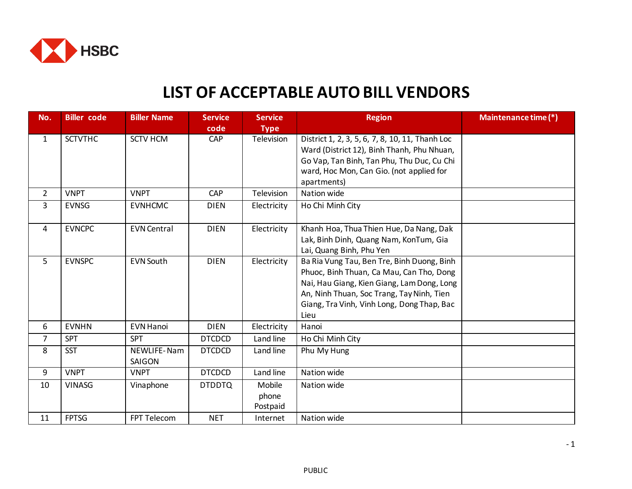

## **LIST OF ACCEPTABLE AUTO BILL VENDORS**

| No.            | <b>Biller</b> code | <b>Biller Name</b> | <b>Service</b> | <b>Service</b> | <b>Region</b>                                   | Maintenance time (*) |
|----------------|--------------------|--------------------|----------------|----------------|-------------------------------------------------|----------------------|
|                |                    |                    | code           | <b>Type</b>    |                                                 |                      |
| $\mathbf{1}$   | <b>SCTVTHC</b>     | <b>SCTV HCM</b>    | CAP            | Television     | District 1, 2, 3, 5, 6, 7, 8, 10, 11, Thanh Loc |                      |
|                |                    |                    |                |                | Ward (District 12), Binh Thanh, Phu Nhuan,      |                      |
|                |                    |                    |                |                | Go Vap, Tan Binh, Tan Phu, Thu Duc, Cu Chi      |                      |
|                |                    |                    |                |                | ward, Hoc Mon, Can Gio. (not applied for        |                      |
|                |                    |                    |                |                | apartments)                                     |                      |
| $\overline{2}$ | <b>VNPT</b>        | <b>VNPT</b>        | CAP            | Television     | Nation wide                                     |                      |
| 3              | <b>EVNSG</b>       | <b>EVNHCMC</b>     | <b>DIEN</b>    | Electricity    | Ho Chi Minh City                                |                      |
|                |                    |                    |                |                |                                                 |                      |
| 4              | <b>EVNCPC</b>      | <b>EVN Central</b> | <b>DIEN</b>    | Electricity    | Khanh Hoa, Thua Thien Hue, Da Nang, Dak         |                      |
|                |                    |                    |                |                | Lak, Binh Dinh, Quang Nam, KonTum, Gia          |                      |
|                |                    |                    |                |                | Lai, Quang Binh, Phu Yen                        |                      |
| 5              | <b>EVNSPC</b>      | <b>EVN South</b>   | <b>DIEN</b>    | Electricity    | Ba Ria Vung Tau, Ben Tre, Binh Duong, Binh      |                      |
|                |                    |                    |                |                | Phuoc, Binh Thuan, Ca Mau, Can Tho, Dong        |                      |
|                |                    |                    |                |                | Nai, Hau Giang, Kien Giang, Lam Dong, Long      |                      |
|                |                    |                    |                |                | An, Ninh Thuan, Soc Trang, Tay Ninh, Tien       |                      |
|                |                    |                    |                |                | Giang, Tra Vinh, Vinh Long, Dong Thap, Bac      |                      |
|                |                    |                    |                |                | Lieu                                            |                      |
| 6              | <b>EVNHN</b>       | <b>EVN Hanoi</b>   | <b>DIEN</b>    | Electricity    | Hanoi                                           |                      |
| $\overline{7}$ | <b>SPT</b>         | <b>SPT</b>         | <b>DTCDCD</b>  | Land line      | Ho Chi Minh City                                |                      |
| 8              | <b>SST</b>         | NEWLIFE-Nam        | <b>DTCDCD</b>  | Land line      | Phu My Hung                                     |                      |
|                |                    | SAIGON             |                |                |                                                 |                      |
| 9              | <b>VNPT</b>        | <b>VNPT</b>        | <b>DTCDCD</b>  | Land line      | Nation wide                                     |                      |
| 10             | <b>VINASG</b>      | Vinaphone          | <b>DTDDTQ</b>  | Mobile         | Nation wide                                     |                      |
|                |                    |                    |                | phone          |                                                 |                      |
|                |                    |                    |                | Postpaid       |                                                 |                      |
| 11             | <b>FPTSG</b>       | FPT Telecom        | <b>NET</b>     | Internet       | Nation wide                                     |                      |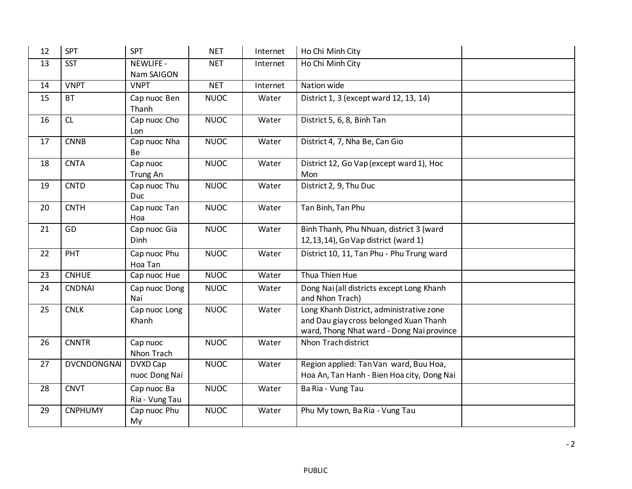| 12 | <b>SPT</b>         | <b>SPT</b>                     | <b>NET</b>  | Internet | Ho Chi Minh City                                                                                                                |  |
|----|--------------------|--------------------------------|-------------|----------|---------------------------------------------------------------------------------------------------------------------------------|--|
| 13 | <b>SST</b>         | <b>NEWLIFE -</b><br>Nam SAIGON | <b>NET</b>  | Internet | Ho Chi Minh City                                                                                                                |  |
| 14 | <b>VNPT</b>        | <b>VNPT</b>                    | <b>NET</b>  | Internet | Nation wide                                                                                                                     |  |
| 15 | <b>BT</b>          | Cap nuoc Ben<br>Thanh          | <b>NUOC</b> | Water    | District 1, 3 (except ward 12, 13, 14)                                                                                          |  |
| 16 | CL                 | Cap nuoc Cho<br>Lon            | <b>NUOC</b> | Water    | District 5, 6, 8, Binh Tan                                                                                                      |  |
| 17 | <b>CNNB</b>        | Cap nuoc Nha<br>Be             | <b>NUOC</b> | Water    | District 4, 7, Nha Be, Can Gio                                                                                                  |  |
| 18 | <b>CNTA</b>        | Cap nuoc<br>Trung An           | <b>NUOC</b> | Water    | District 12, Go Vap (except ward 1), Hoc<br>Mon                                                                                 |  |
| 19 | <b>CNTD</b>        | Cap nuoc Thu<br>Duc            | <b>NUOC</b> | Water    | District 2, 9, Thu Duc                                                                                                          |  |
| 20 | <b>CNTH</b>        | Cap nuoc Tan<br>Hoa            | <b>NUOC</b> | Water    | Tan Binh, Tan Phu                                                                                                               |  |
| 21 | GD                 | Cap nuoc Gia<br>Dinh           | <b>NUOC</b> | Water    | Binh Thanh, Phu Nhuan, district 3 (ward<br>12,13,14), Go Vap district (ward 1)                                                  |  |
| 22 | PHT                | Cap nuoc Phu<br>Hoa Tan        | <b>NUOC</b> | Water    | District 10, 11, Tan Phu - Phu Trung ward                                                                                       |  |
| 23 | <b>CNHUE</b>       | Cap nuoc Hue                   | <b>NUOC</b> | Water    | Thua Thien Hue                                                                                                                  |  |
| 24 | <b>CNDNAI</b>      | Cap nuoc Dong<br>Nai           | <b>NUOC</b> | Water    | Dong Nai (all districts except Long Khanh<br>and Nhon Trach)                                                                    |  |
| 25 | <b>CNLK</b>        | Cap nuoc Long<br>Khanh         | <b>NUOC</b> | Water    | Long Khanh District, administrative zone<br>and Dau giay cross belonged Xuan Thanh<br>ward, Thong Nhat ward - Dong Nai province |  |
| 26 | <b>CNNTR</b>       | Cap nuoc<br>Nhon Trach         | <b>NUOC</b> | Water    | Nhon Trach district                                                                                                             |  |
| 27 | <b>DVCNDONGNAI</b> | DVXD Cap<br>nuoc Dong Nai      | <b>NUOC</b> | Water    | Region applied: Tan Van ward, Buu Hoa,<br>Hoa An, Tan Hanh - Bien Hoa city, Dong Nai                                            |  |
| 28 | <b>CNVT</b>        | Cap nuoc Ba<br>Ria - Vung Tau  | <b>NUOC</b> | Water    | Ba Ria - Vung Tau                                                                                                               |  |
| 29 | <b>CNPHUMY</b>     | Cap nuoc Phu<br>My             | <b>NUOC</b> | Water    | Phu My town, Ba Ria - Vung Tau                                                                                                  |  |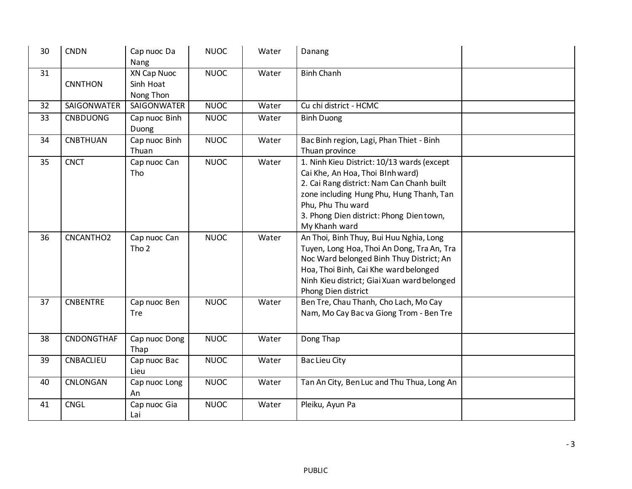| 30 | <b>CNDN</b>     | Cap nuoc Da<br>Nang                          | <b>NUOC</b> | Water | Danang                                                                                                                                                                                                                                                   |  |
|----|-----------------|----------------------------------------------|-------------|-------|----------------------------------------------------------------------------------------------------------------------------------------------------------------------------------------------------------------------------------------------------------|--|
| 31 | <b>CNNTHON</b>  | <b>XN Cap Nuoc</b><br>Sinh Hoat<br>Nong Thon | <b>NUOC</b> | Water | <b>Binh Chanh</b>                                                                                                                                                                                                                                        |  |
| 32 | SAIGONWATER     | SAIGONWATER                                  | <b>NUOC</b> | Water | Cu chi district - HCMC                                                                                                                                                                                                                                   |  |
| 33 | <b>CNBDUONG</b> | Cap nuoc Binh<br>Duong                       | <b>NUOC</b> | Water | <b>Binh Duong</b>                                                                                                                                                                                                                                        |  |
| 34 | <b>CNBTHUAN</b> | Cap nuoc Binh<br>Thuan                       | <b>NUOC</b> | Water | Bac Binh region, Lagi, Phan Thiet - Binh<br>Thuan province                                                                                                                                                                                               |  |
| 35 | <b>CNCT</b>     | Cap nuoc Can<br>Tho                          | <b>NUOC</b> | Water | 1. Ninh Kieu District: 10/13 wards (except<br>Cai Khe, An Hoa, Thoi Blnh ward)<br>2. Cai Rang district: Nam Can Chanh built<br>zone including Hung Phu, Hung Thanh, Tan<br>Phu, Phu Thu ward<br>3. Phong Dien district: Phong Dientown,<br>My Khanh ward |  |
| 36 | CNCANTHO2       | Cap nuoc Can<br>Tho <sub>2</sub>             | <b>NUOC</b> | Water | An Thoi, Binh Thuy, Bui Huu Nghia, Long<br>Tuyen, Long Hoa, Thoi An Dong, Tra An, Tra<br>Noc Ward belonged Binh Thuy District; An<br>Hoa, Thoi Binh, Cai Khe ward belonged<br>Ninh Kieu district; Giai Xuan ward belonged<br>Phong Dien district         |  |
| 37 | <b>CNBENTRE</b> | Cap nuoc Ben<br><b>Tre</b>                   | <b>NUOC</b> | Water | Ben Tre, Chau Thanh, Cho Lach, Mo Cay<br>Nam, Mo Cay Bac va Giong Trom - Ben Tre                                                                                                                                                                         |  |
| 38 | CNDONGTHAF      | Cap nuoc Dong<br>Thap                        | <b>NUOC</b> | Water | Dong Thap                                                                                                                                                                                                                                                |  |
| 39 | CNBACLIEU       | Cap nuoc Bac<br>Lieu                         | <b>NUOC</b> | Water | <b>Bac Lieu City</b>                                                                                                                                                                                                                                     |  |
| 40 | CNLONGAN        | Cap nuoc Long<br>An                          | <b>NUOC</b> | Water | Tan An City, Ben Luc and Thu Thua, Long An                                                                                                                                                                                                               |  |
| 41 | <b>CNGL</b>     | Cap nuoc Gia<br>Lai                          | <b>NUOC</b> | Water | Pleiku, Ayun Pa                                                                                                                                                                                                                                          |  |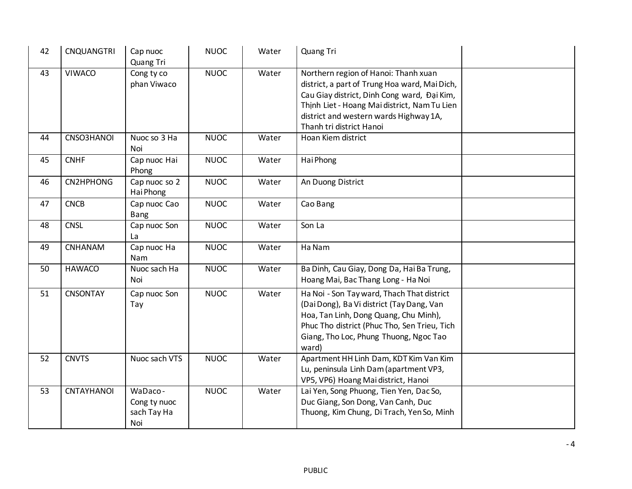| 42 | <b>CNQUANGTRI</b> | Cap nuoc<br>Quang Tri                         | <b>NUOC</b> | Water | Quang Tri                                                                                                                                                                                                                                                  |  |
|----|-------------------|-----------------------------------------------|-------------|-------|------------------------------------------------------------------------------------------------------------------------------------------------------------------------------------------------------------------------------------------------------------|--|
| 43 | <b>VIWACO</b>     | Cong ty co<br>phan Viwaco                     | <b>NUOC</b> | Water | Northern region of Hanoi: Thanh xuan<br>district, a part of Trung Hoa ward, Mai Dich,<br>Cau Giay district, Dinh Cong ward, Đại Kim,<br>Thịnh Liet - Hoang Mai district, Nam Tu Lien<br>district and western wards Highway 1A,<br>Thanh tri district Hanoi |  |
| 44 | CNSO3HANOI        | Nuoc so 3 Ha<br>Noi                           | <b>NUOC</b> | Water | Hoan Kiem district                                                                                                                                                                                                                                         |  |
| 45 | <b>CNHF</b>       | Cap nuoc Hai<br>Phong                         | <b>NUOC</b> | Water | Hai Phong                                                                                                                                                                                                                                                  |  |
| 46 | CN2HPHONG         | Cap nuoc so 2<br>Hai Phong                    | <b>NUOC</b> | Water | An Duong District                                                                                                                                                                                                                                          |  |
| 47 | <b>CNCB</b>       | Cap nuoc Cao<br>Bang                          | <b>NUOC</b> | Water | Cao Bang                                                                                                                                                                                                                                                   |  |
| 48 | <b>CNSL</b>       | Cap nuoc Son<br>La                            | <b>NUOC</b> | Water | Son La                                                                                                                                                                                                                                                     |  |
| 49 | CNHANAM           | Cap nuoc Ha<br>Nam                            | <b>NUOC</b> | Water | Ha Nam                                                                                                                                                                                                                                                     |  |
| 50 | <b>HAWACO</b>     | Nuoc sach Ha<br>Noi                           | <b>NUOC</b> | Water | Ba Dinh, Cau Giay, Dong Da, Hai Ba Trung,<br>Hoang Mai, Bac Thang Long - Ha Noi                                                                                                                                                                            |  |
| 51 | <b>CNSONTAY</b>   | Cap nuoc Son<br>Tay                           | <b>NUOC</b> | Water | Ha Noi - Son Tay ward, Thach That district<br>(Dai Dong), Ba Vi district (Tay Dang, Van<br>Hoa, Tan Linh, Dong Quang, Chu Minh),<br>Phuc Tho district (Phuc Tho, Sen Trieu, Tich<br>Giang, Tho Loc, Phung Thuong, Ngoc Tao<br>ward)                        |  |
| 52 | <b>CNVTS</b>      | Nuoc sach VTS                                 | <b>NUOC</b> | Water | Apartment HH Linh Dam, KDT Kim Van Kim<br>Lu, peninsula Linh Dam (apartment VP3,<br>VP5, VP6) Hoang Mai district, Hanoi                                                                                                                                    |  |
| 53 | CNTAYHANOI        | WaDaco-<br>Cong ty nuoc<br>sach Tay Ha<br>Noi | <b>NUOC</b> | Water | Lai Yen, Song Phuong, Tien Yen, Dac So,<br>Duc Giang, Son Dong, Van Canh, Duc<br>Thuong, Kim Chung, Di Trach, Yen So, Minh                                                                                                                                 |  |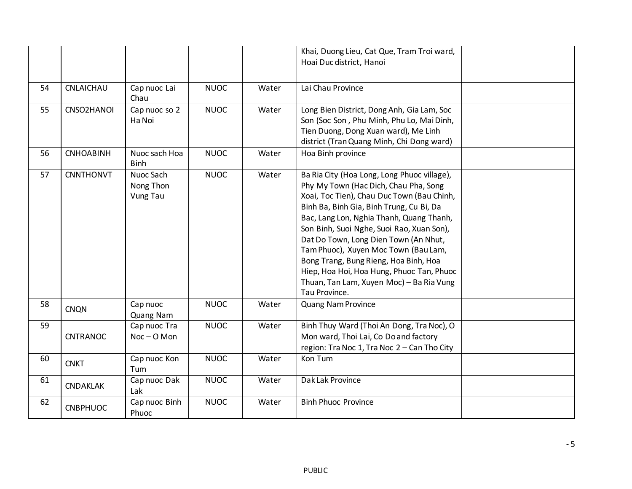|    |                  |                                    |             |       | Khai, Duong Lieu, Cat Que, Tram Troi ward,<br>Hoai Duc district, Hanoi                                                                                                                                                                                                                                                                                                                                                                                                                                      |  |
|----|------------------|------------------------------------|-------------|-------|-------------------------------------------------------------------------------------------------------------------------------------------------------------------------------------------------------------------------------------------------------------------------------------------------------------------------------------------------------------------------------------------------------------------------------------------------------------------------------------------------------------|--|
| 54 | CNLAICHAU        | Cap nuoc Lai<br>Chau               | <b>NUOC</b> | Water | Lai Chau Province                                                                                                                                                                                                                                                                                                                                                                                                                                                                                           |  |
| 55 | CNSO2HANOI       | Cap nuoc so 2<br>Ha Noi            | <b>NUOC</b> | Water | Long Bien District, Dong Anh, Gia Lam, Soc<br>Son (Soc Son, Phu Minh, Phu Lo, Mai Dinh,<br>Tien Duong, Dong Xuan ward), Me Linh<br>district (Tran Quang Minh, Chi Dong ward)                                                                                                                                                                                                                                                                                                                                |  |
| 56 | <b>CNHOABINH</b> | Nuoc sach Hoa<br><b>Binh</b>       | <b>NUOC</b> | Water | Hoa Binh province                                                                                                                                                                                                                                                                                                                                                                                                                                                                                           |  |
| 57 | <b>CNNTHONVT</b> | Nuoc Sach<br>Nong Thon<br>Vung Tau | <b>NUOC</b> | Water | Ba Ria City (Hoa Long, Long Phuoc village),<br>Phy My Town (Hac Dich, Chau Pha, Song<br>Xoai, Toc Tien), Chau Duc Town (Bau Chinh,<br>Binh Ba, Binh Gia, Binh Trung, Cu Bi, Da<br>Bac, Lang Lon, Nghia Thanh, Quang Thanh,<br>Son Binh, Suoi Nghe, Suoi Rao, Xuan Son),<br>Dat Do Town, Long Dien Town (An Nhut,<br>Tam Phuoc), Xuyen Moc Town (Bau Lam,<br>Bong Trang, Bung Rieng, Hoa Binh, Hoa<br>Hiep, Hoa Hoi, Hoa Hung, Phuoc Tan, Phuoc<br>Thuan, Tan Lam, Xuyen Moc) - Ba Ria Vung<br>Tau Province. |  |
| 58 | <b>CNQN</b>      | Cap nuoc<br>Quang Nam              | <b>NUOC</b> | Water | Quang Nam Province                                                                                                                                                                                                                                                                                                                                                                                                                                                                                          |  |
| 59 | CNTRANOC         | Cap nuoc Tra<br>$Noc - O$ Mon      | <b>NUOC</b> | Water | Binh Thuy Ward (Thoi An Dong, Tra Noc), O<br>Mon ward, Thoi Lai, Co Do and factory<br>region: Tra Noc 1, Tra Noc 2 - Can Tho City                                                                                                                                                                                                                                                                                                                                                                           |  |
| 60 | <b>CNKT</b>      | Cap nuoc Kon<br>Tum                | <b>NUOC</b> | Water | Kon Tum                                                                                                                                                                                                                                                                                                                                                                                                                                                                                                     |  |
| 61 | <b>CNDAKLAK</b>  | Cap nuoc Dak<br>Lak                | <b>NUOC</b> | Water | Dak Lak Province                                                                                                                                                                                                                                                                                                                                                                                                                                                                                            |  |
| 62 | <b>CNBPHUOC</b>  | Cap nuoc Binh<br>Phuoc             | <b>NUOC</b> | Water | <b>Binh Phuoc Province</b>                                                                                                                                                                                                                                                                                                                                                                                                                                                                                  |  |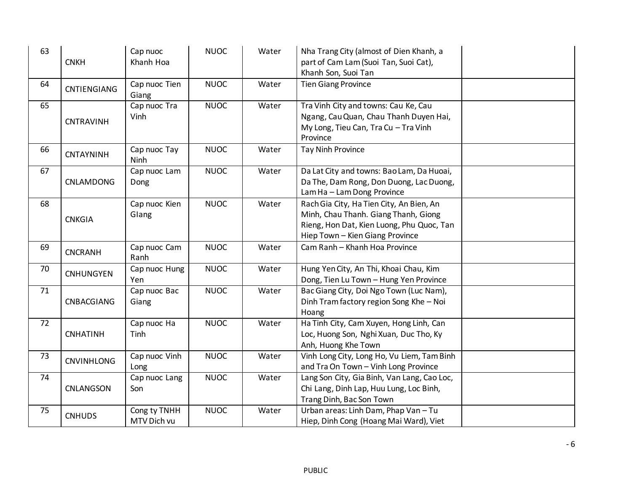| 63 | <b>CNKH</b>       | Cap nuoc<br>Khanh Hoa       | <b>NUOC</b> | Water | Nha Trang City (almost of Dien Khanh, a<br>part of Cam Lam (Suoi Tan, Suoi Cat),<br>Khanh Son, Suoi Tan                                                          |  |
|----|-------------------|-----------------------------|-------------|-------|------------------------------------------------------------------------------------------------------------------------------------------------------------------|--|
| 64 | CNTIENGIANG       | Cap nuoc Tien<br>Giang      | <b>NUOC</b> | Water | <b>Tien Giang Province</b>                                                                                                                                       |  |
| 65 | CNTRAVINH         | Cap nuoc Tra<br>Vinh        | <b>NUOC</b> | Water | Tra Vinh City and towns: Cau Ke, Cau<br>Ngang, Cau Quan, Chau Thanh Duyen Hai,<br>My Long, Tieu Can, Tra Cu - Tra Vinh<br>Province                               |  |
| 66 | CNTAYNINH         | Cap nuoc Tay<br>Ninh        | <b>NUOC</b> | Water | <b>Tay Ninh Province</b>                                                                                                                                         |  |
| 67 | CNLAMDONG         | Cap nuoc Lam<br>Dong        | <b>NUOC</b> | Water | Da Lat City and towns: Bao Lam, Da Huoai,<br>Da The, Dam Rong, Don Duong, Lac Duong,<br>Lam Ha - Lam Dong Province                                               |  |
| 68 | <b>CNKGIA</b>     | Cap nuoc Kien<br>Glang      | <b>NUOC</b> | Water | Rach Gia City, Ha Tien City, An Bien, An<br>Minh, Chau Thanh. Giang Thanh, Giong<br>Rieng, Hon Dat, Kien Luong, Phu Quoc, Tan<br>Hiep Town - Kien Giang Province |  |
| 69 | <b>CNCRANH</b>    | Cap nuoc Cam<br>Ranh        | <b>NUOC</b> | Water | Cam Ranh - Khanh Hoa Province                                                                                                                                    |  |
| 70 | <b>CNHUNGYEN</b>  | Cap nuoc Hung<br>Yen        | <b>NUOC</b> | Water | Hung Yen City, An Thi, Khoai Chau, Kim<br>Dong, Tien Lu Town - Hung Yen Province                                                                                 |  |
| 71 | CNBACGIANG        | Cap nuoc Bac<br>Giang       | <b>NUOC</b> | Water | Bac Giang City, Doi Ngo Town (Luc Nam),<br>Dinh Tram factory region Song Khe - Noi<br>Hoang                                                                      |  |
| 72 | <b>CNHATINH</b>   | Cap nuoc Ha<br>Tinh         | <b>NUOC</b> | Water | Ha Tinh City, Cam Xuyen, Hong Linh, Can<br>Loc, Huong Son, Nghi Xuan, Duc Tho, Ky<br>Anh, Huong Khe Town                                                         |  |
| 73 | <b>CNVINHLONG</b> | Cap nuoc Vinh<br>Long       | <b>NUOC</b> | Water | Vinh Long City, Long Ho, Vu Liem, Tam Binh<br>and Tra On Town - Vinh Long Province                                                                               |  |
| 74 | CNLANGSON         | Cap nuoc Lang<br>Son        | <b>NUOC</b> | Water | Lang Son City, Gia Binh, Van Lang, Cao Loc,<br>Chi Lang, Dinh Lap, Huu Lung, Loc Binh,<br>Trang Dinh, Bac Son Town                                               |  |
| 75 | <b>CNHUDS</b>     | Cong ty TNHH<br>MTV Dich vu | <b>NUOC</b> | Water | Urban areas: Linh Dam, Phap Van - Tu<br>Hiep, Dinh Cong (Hoang Mai Ward), Viet                                                                                   |  |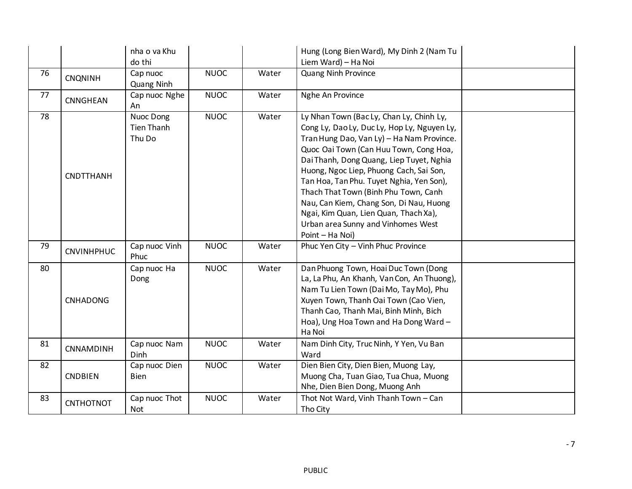|    |                   | nha o va Khu                      |             |       | Hung (Long Bien Ward), My Dinh 2 (Nam Tu                                                                                                                                                                                                                                                                                                                                                                                                                                                               |  |
|----|-------------------|-----------------------------------|-------------|-------|--------------------------------------------------------------------------------------------------------------------------------------------------------------------------------------------------------------------------------------------------------------------------------------------------------------------------------------------------------------------------------------------------------------------------------------------------------------------------------------------------------|--|
|    |                   | do thi                            |             |       | Liem Ward) - Ha Noi                                                                                                                                                                                                                                                                                                                                                                                                                                                                                    |  |
| 76 | <b>CNQNINH</b>    | Cap nuoc<br>Quang Ninh            | <b>NUOC</b> | Water | <b>Quang Ninh Province</b>                                                                                                                                                                                                                                                                                                                                                                                                                                                                             |  |
| 77 | <b>CNNGHEAN</b>   | Cap nuoc Nghe<br>An               | <b>NUOC</b> | Water | Nghe An Province                                                                                                                                                                                                                                                                                                                                                                                                                                                                                       |  |
| 78 | <b>CNDTTHANH</b>  | Nuoc Dong<br>Tien Thanh<br>Thu Do | <b>NUOC</b> | Water | Ly Nhan Town (Bac Ly, Chan Ly, Chinh Ly,<br>Cong Ly, Dao Ly, Duc Ly, Hop Ly, Nguyen Ly,<br>Tran Hung Dao, Van Ly) - Ha Nam Province.<br>Quoc Oai Town (Can Huu Town, Cong Hoa,<br>Dai Thanh, Dong Quang, Liep Tuyet, Nghia<br>Huong, Ngoc Liep, Phuong Cach, Sai Son,<br>Tan Hoa, Tan Phu. Tuyet Nghia, Yen Son),<br>Thach That Town (Binh Phu Town, Canh<br>Nau, Can Kiem, Chang Son, Di Nau, Huong<br>Ngai, Kim Quan, Lien Quan, Thach Xa),<br>Urban area Sunny and Vinhomes West<br>Point - Ha Noi) |  |
| 79 | <b>CNVINHPHUC</b> | Cap nuoc Vinh<br>Phuc             | <b>NUOC</b> | Water | Phuc Yen City - Vinh Phuc Province                                                                                                                                                                                                                                                                                                                                                                                                                                                                     |  |
| 80 | <b>CNHADONG</b>   | Cap nuoc Ha<br>Dong               | <b>NUOC</b> | Water | Dan Phuong Town, Hoai Duc Town (Dong<br>La, La Phu, An Khanh, Van Con, An Thuong),<br>Nam Tu Lien Town (Dai Mo, Tay Mo), Phu<br>Xuyen Town, Thanh Oai Town (Cao Vien,<br>Thanh Cao, Thanh Mai, Binh Minh, Bich<br>Hoa), Ung Hoa Town and Ha Dong Ward -<br>Ha Noi                                                                                                                                                                                                                                      |  |
| 81 | CNNAMDINH         | Cap nuoc Nam<br><b>Dinh</b>       | <b>NUOC</b> | Water | Nam Dinh City, Truc Ninh, Y Yen, Vu Ban<br>Ward                                                                                                                                                                                                                                                                                                                                                                                                                                                        |  |
| 82 | <b>CNDBIEN</b>    | Cap nuoc Dien<br><b>Bien</b>      | <b>NUOC</b> | Water | Dien Bien City, Dien Bien, Muong Lay,<br>Muong Cha, Tuan Giao, Tua Chua, Muong<br>Nhe, Dien Bien Dong, Muong Anh                                                                                                                                                                                                                                                                                                                                                                                       |  |
| 83 | <b>CNTHOTNOT</b>  | Cap nuoc Thot<br>Not              | <b>NUOC</b> | Water | Thot Not Ward, Vinh Thanh Town - Can<br>Tho City                                                                                                                                                                                                                                                                                                                                                                                                                                                       |  |